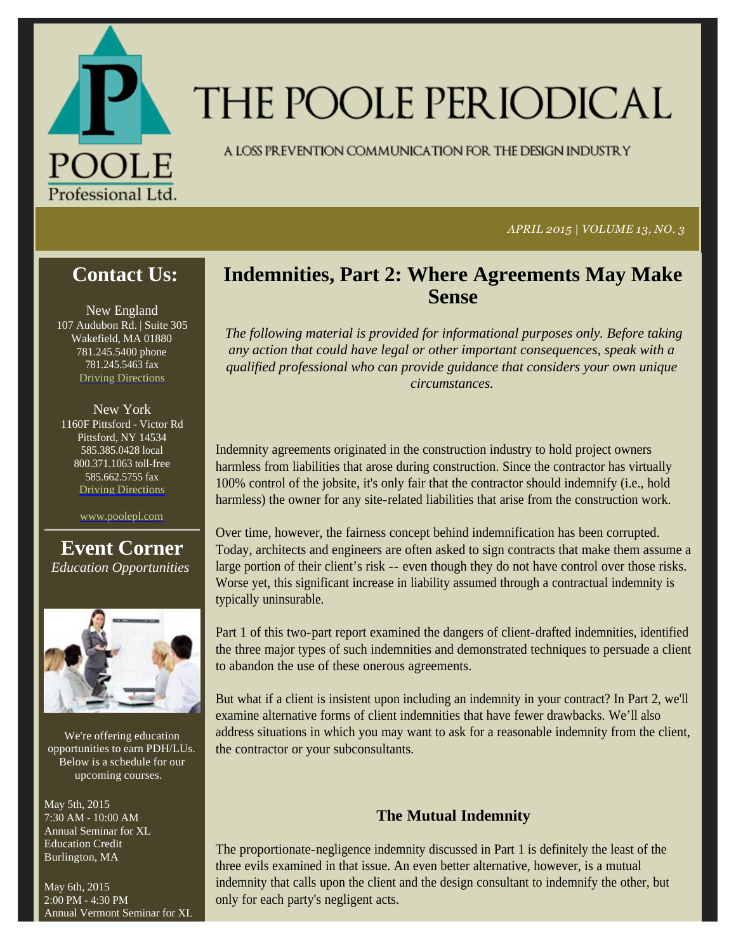

# THE POOLE PERIODICAL

A LOSS PREVENTION COMMUNICATION FOR THE DESIGN INDUSTRY

*APRIL 2015 | VOLUME 13, NO. 3*

# **Contact Us:**

New England 107 Audubon Rd. | Suite 305 Wakefield, MA 01880 781.245.5400 phone 781.245.5463 fax Driving Directions

New York 1160F Pittsford - Victor Rd Pittsford, NY 14534 585.385.0428 local 800.371.1063 toll-free 585.662.5755 fax Driving Directions

www.poolepl.com

**Event Corner** *Education Opportunities*



We're offering education opportunities to earn PDH/LUs. Below is a schedule for our upcoming courses.

May 5th, 2015 7:30 AM - 10:00 AM Annual Seminar for XL Education Credit Burlington, MA

May 6th, 2015 2:00 PM - 4:30 PM Annual Vermont Seminar for XL

## **Indemnities, Part 2: Where Agreements May Make Sense**

*The following material is provided for informational purposes only. Before taking any action that could have legal or other important consequences, speak with a qualified professional who can provide guidance that considers your own unique circumstances.* 

Indemnity agreements originated in the construction industry to hold project owners harmless from liabilities that arose during construction. Since the contractor has virtually 100% control of the jobsite, it's only fair that the contractor should indemnify (i.e., hold harmless) the owner for any site-related liabilities that arise from the construction work.

Over time, however, the fairness concept behind indemnification has been corrupted. Today, architects and engineers are often asked to sign contracts that make them assume a large portion of their client's risk -- even though they do not have control over those risks. Worse yet, this significant increase in liability assumed through a contractual indemnity is typically uninsurable.

Part 1 of this two-part report examined the dangers of client-drafted indemnities, identified the three major types of such indemnities and demonstrated techniques to persuade a client to abandon the use of these onerous agreements.

But what if a client is insistent upon including an indemnity in your contract? In Part 2, we'll examine alternative forms of client indemnities that have fewer drawbacks. We'll also address situations in which you may want to ask for a reasonable indemnity from the client, the contractor or your subconsultants.

## **The Mutual Indemnity**

The proportionate-negligence indemnity discussed in Part 1 is definitely the least of the three evils examined in that issue. An even better alternative, however, is a mutual indemnity that calls upon the client and the design consultant to indemnify the other, but only for each party's negligent acts.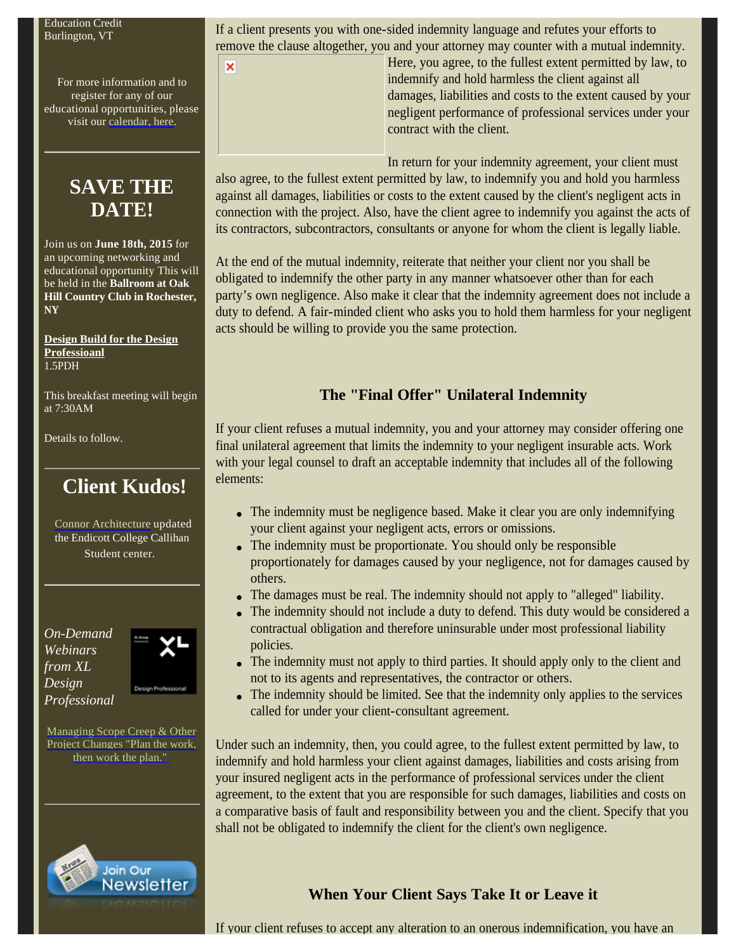For more information and to register for any of our educational opportunities, please visit our calendar, here.

# **SAVE THE DATE!**

Join us on **June 18th, 2015** for an upcoming networking and educational opportunity This will be held in the **Ballroom at Oak Hill Country Club in Rochester, NY**

**Design Build for the Design Professioanl** 1.5PDH

This breakfast meeting will begin at 7:30AM

Details to follow.

# **Client Kudos!**

Connor Architecture updated the Endicott College Callihan Student center.

*On-Demand Webinars from XL Design Professional*



Managing Scope Creep & Other Project Changes "Plan the work, then work the plan."



If a client presents you with one-sided indemnity language and refutes your efforts to remove the clause altogether, you and your attorney may counter with a mutual indemnity.

×

Here, you agree, to the fullest extent permitted by law, to indemnify and hold harmless the client against all damages, liabilities and costs to the extent caused by your negligent performance of professional services under your contract with the client.

In return for your indemnity agreement, your client must also agree, to the fullest extent permitted by law, to indemnify you and hold you harmless against all damages, liabilities or costs to the extent caused by the client's negligent acts in connection with the project. Also, have the client agree to indemnify you against the acts of its contractors, subcontractors, consultants or anyone for whom the client is legally liable.

At the end of the mutual indemnity, reiterate that neither your client nor you shall be obligated to indemnify the other party in any manner whatsoever other than for each party's own negligence. Also make it clear that the indemnity agreement does not include a duty to defend. A fair-minded client who asks you to hold them harmless for your negligent acts should be willing to provide you the same protection.

## **The "Final Offer" Unilateral Indemnity**

If your client refuses a mutual indemnity, you and your attorney may consider offering one final unilateral agreement that limits the indemnity to your negligent insurable acts. Work with your legal counsel to draft an acceptable indemnity that includes all of the following elements:

- The indemnity must be negligence based. Make it clear you are only indemnifying your client against your negligent acts, errors or omissions.
- The indemnity must be proportionate. You should only be responsible proportionately for damages caused by your negligence, not for damages caused by others.
- The damages must be real. The indemnity should not apply to "alleged" liability.
- The indemnity should not include a duty to defend. This duty would be considered a contractual obligation and therefore uninsurable under most professional liability policies.
- The indemnity must not apply to third parties. It should apply only to the client and not to its agents and representatives, the contractor or others.
- The indemnity should be limited. See that the indemnity only applies to the services called for under your client-consultant agreement.

Under such an indemnity, then, you could agree, to the fullest extent permitted by law, to indemnify and hold harmless your client against damages, liabilities and costs arising from your insured negligent acts in the performance of professional services under the client agreement, to the extent that you are responsible for such damages, liabilities and costs on a comparative basis of fault and responsibility between you and the client. Specify that you shall not be obligated to indemnify the client for the client's own negligence.

## **When Your Client Says Take It or Leave it**

If your client refuses to accept any alteration to an onerous indemnification, you have an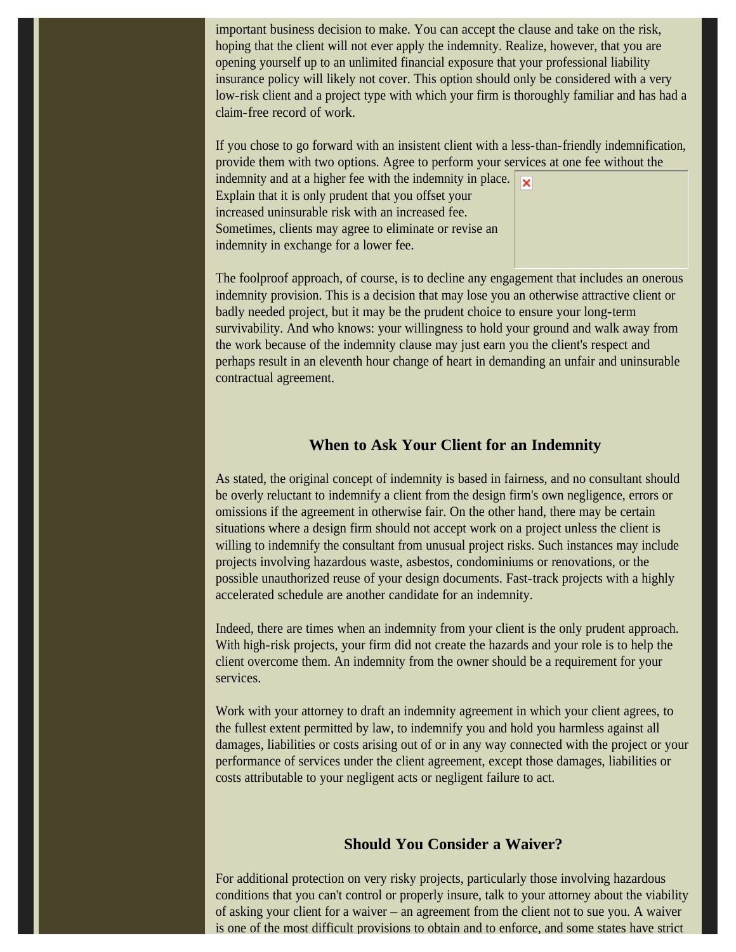important business decision to make. You can accept the clause and take on the risk, hoping that the client will not ever apply the indemnity. Realize, however, that you are opening yourself up to an unlimited financial exposure that your professional liability insurance policy will likely not cover. This option should only be considered with a very low-risk client and a project type with which your firm is thoroughly familiar and has had a claim-free record of work.

If you chose to go forward with an insistent client with a less-than-friendly indemnification, provide them with two options. Agree to perform your services at one fee without the

indemnity and at a higher fee with the indemnity in place. Explain that it is only prudent that you offset your increased uninsurable risk with an increased fee. Sometimes, clients may agree to eliminate or revise an indemnity in exchange for a lower fee.



The foolproof approach, of course, is to decline any engagement that includes an onerous indemnity provision. This is a decision that may lose you an otherwise attractive client or badly needed project, but it may be the prudent choice to ensure your long-term survivability. And who knows: your willingness to hold your ground and walk away from the work because of the indemnity clause may just earn you the client's respect and perhaps result in an eleventh hour change of heart in demanding an unfair and uninsurable contractual agreement.

## **When to Ask Your Client for an Indemnity**

As stated, the original concept of indemnity is based in fairness, and no consultant should be overly reluctant to indemnify a client from the design firm's own negligence, errors or omissions if the agreement in otherwise fair. On the other hand, there may be certain situations where a design firm should not accept work on a project unless the client is willing to indemnify the consultant from unusual project risks. Such instances may include projects involving hazardous waste, asbestos, condominiums or renovations, or the possible unauthorized reuse of your design documents. Fast-track projects with a highly accelerated schedule are another candidate for an indemnity.

Indeed, there are times when an indemnity from your client is the only prudent approach. With high-risk projects, your firm did not create the hazards and your role is to help the client overcome them. An indemnity from the owner should be a requirement for your services.

Work with your attorney to draft an indemnity agreement in which your client agrees, to the fullest extent permitted by law, to indemnify you and hold you harmless against all damages, liabilities or costs arising out of or in any way connected with the project or your performance of services under the client agreement, except those damages, liabilities or costs attributable to your negligent acts or negligent failure to act.

## **Should You Consider a Waiver?**

For additional protection on very risky projects, particularly those involving hazardous conditions that you can't control or properly insure, talk to your attorney about the viability of asking your client for a waiver – an agreement from the client not to sue you. A waiver is one of the most difficult provisions to obtain and to enforce, and some states have strict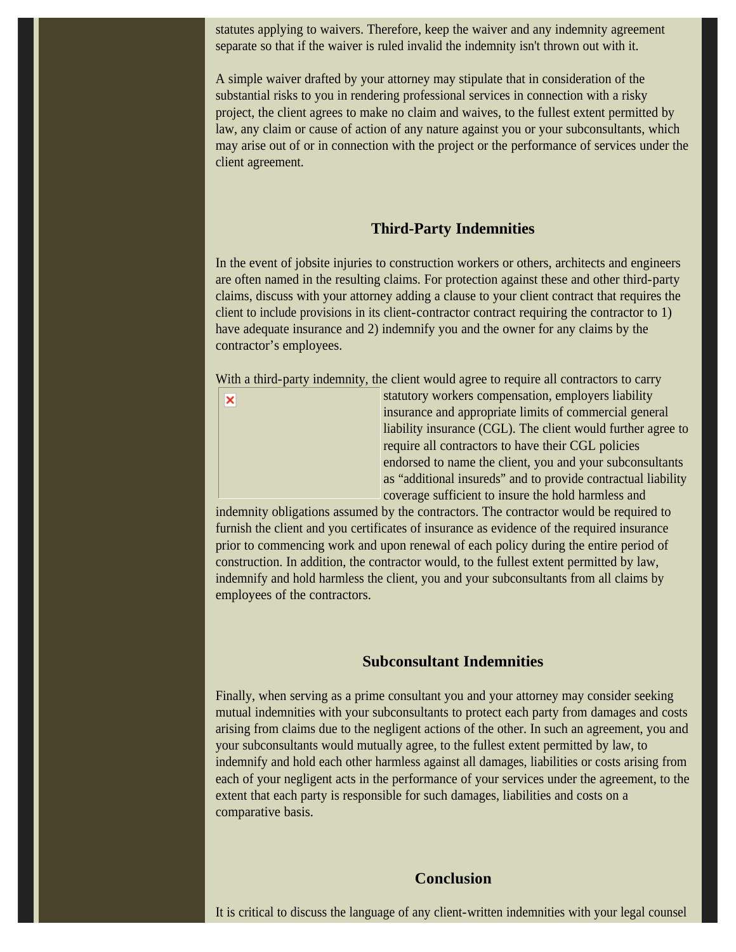statutes applying to waivers. Therefore, keep the waiver and any indemnity agreement separate so that if the waiver is ruled invalid the indemnity isn't thrown out with it.

A simple waiver drafted by your attorney may stipulate that in consideration of the substantial risks to you in rendering professional services in connection with a risky project, the client agrees to make no claim and waives, to the fullest extent permitted by law, any claim or cause of action of any nature against you or your subconsultants, which may arise out of or in connection with the project or the performance of services under the client agreement.

#### **Third-Party Indemnities**

In the event of jobsite injuries to construction workers or others, architects and engineers are often named in the resulting claims. For protection against these and other third-party claims, discuss with your attorney adding a clause to your client contract that requires the client to include provisions in its client-contractor contract requiring the contractor to 1) have adequate insurance and 2) indemnify you and the owner for any claims by the contractor's employees.

With a third-party indemnity, the client would agree to require all contractors to carry



statutory workers compensation, employers liability insurance and appropriate limits of commercial general liability insurance (CGL). The client would further agree to require all contractors to have their CGL policies endorsed to name the client, you and your subconsultants as "additional insureds" and to provide contractual liability coverage sufficient to insure the hold harmless and

indemnity obligations assumed by the contractors. The contractor would be required to furnish the client and you certificates of insurance as evidence of the required insurance prior to commencing work and upon renewal of each policy during the entire period of construction. In addition, the contractor would, to the fullest extent permitted by law, indemnify and hold harmless the client, you and your subconsultants from all claims by employees of the contractors.

## **Subconsultant Indemnities**

Finally, when serving as a prime consultant you and your attorney may consider seeking mutual indemnities with your subconsultants to protect each party from damages and costs arising from claims due to the negligent actions of the other. In such an agreement, you and your subconsultants would mutually agree, to the fullest extent permitted by law, to indemnify and hold each other harmless against all damages, liabilities or costs arising from each of your negligent acts in the performance of your services under the agreement, to the extent that each party is responsible for such damages, liabilities and costs on a comparative basis.

#### **Conclusion**